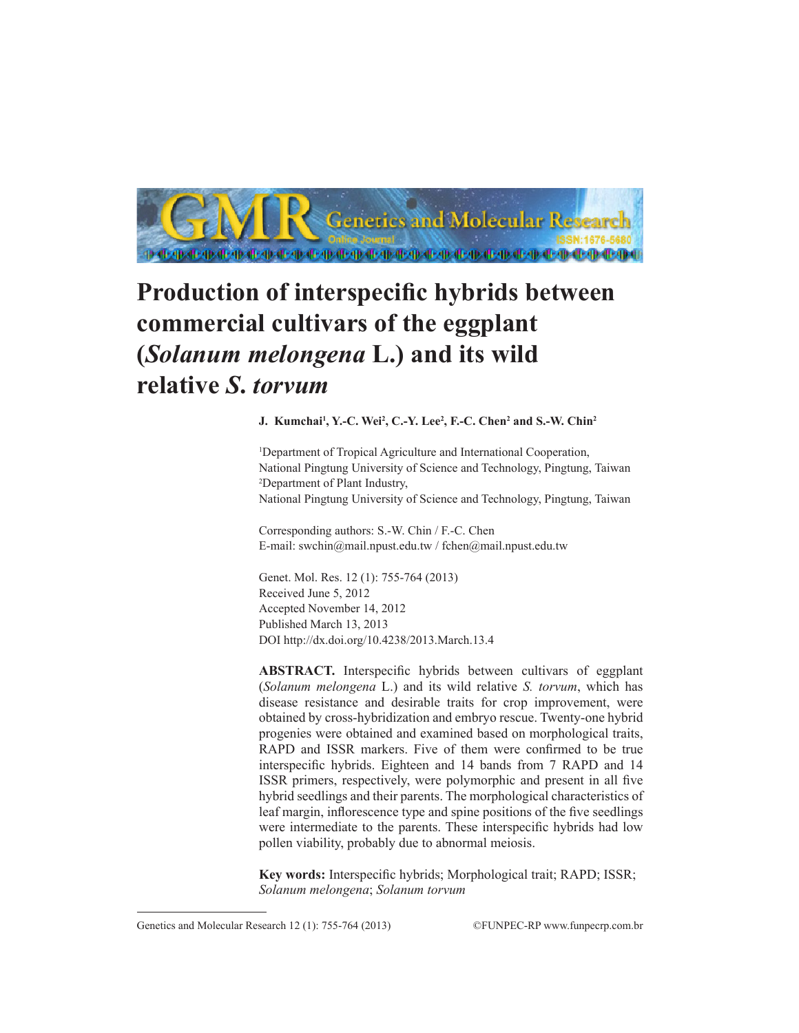

# **Production of interspecific hybrids between commercial cultivars of the eggplant (***Solanum melongena* **L.) and its wild relative** *S***.** *torvum*

**J. Kumchai<sup>1</sup> , Y.-C. Wei2 , C.-Y. Lee2 , F.-C. Chen<sup>2</sup> and S.-W. Chin<sup>2</sup>**

1 Department of Tropical Agriculture and International Cooperation, National Pingtung University of Science and Technology, Pingtung, Taiwan 2 Department of Plant Industry, National Pingtung University of Science and Technology, Pingtung, Taiwan

Corresponding authors: S.-W. Chin / F.-C. Chen E-mail: swchin@mail.npust.edu.tw / fchen@mail.npust.edu.tw

Genet. Mol. Res. 12 (1): 755-764 (2013) Received June 5, 2012 Accepted November 14, 2012 Published March 13, 2013 DOI http://dx.doi.org/10.4238/2013.March.13.4

**ABSTRACT.** Interspecific hybrids between cultivars of eggplant (*Solanum melongena* L.) and its wild relative *S. torvum*, which has disease resistance and desirable traits for crop improvement, were obtained by cross-hybridization and embryo rescue. Twenty-one hybrid progenies were obtained and examined based on morphological traits, RAPD and ISSR markers. Five of them were confirmed to be true interspecific hybrids. Eighteen and 14 bands from 7 RAPD and 14 ISSR primers, respectively, were polymorphic and present in all five hybrid seedlings and their parents. The morphological characteristics of leaf margin, inflorescence type and spine positions of the five seedlings were intermediate to the parents. These interspecific hybrids had low pollen viability, probably due to abnormal meiosis.

**Key words:** Interspecific hybrids; Morphological trait; RAPD; ISSR; *Solanum melongena*; *Solanum torvum*

Genetics and Molecular Research 12 (1): 755-764 (2013) ©FUNPEC-RP www.funpecrp.com.br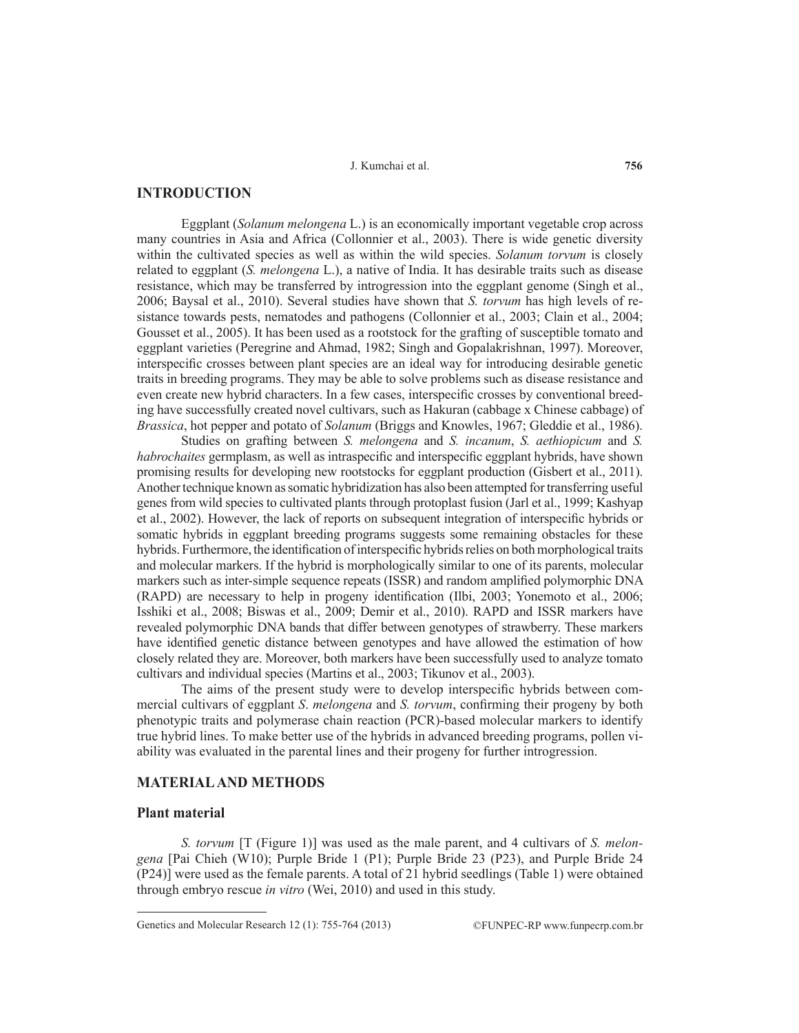# **INTRODUCTION**

Eggplant (*Solanum melongena* L.) is an economically important vegetable crop across many countries in Asia and Africa (Collonnier et al., 2003). There is wide genetic diversity within the cultivated species as well as within the wild species. *Solanum torvum* is closely related to eggplant (*S. melongena* L.), a native of India. It has desirable traits such as disease resistance, which may be transferred by introgression into the eggplant genome (Singh et al., 2006; Baysal et al., 2010). Several studies have shown that *S. torvum* has high levels of resistance towards pests, nematodes and pathogens (Collonnier et al., 2003; Clain et al., 2004; Gousset et al., 2005). It has been used as a rootstock for the grafting of susceptible tomato and eggplant varieties (Peregrine and Ahmad, 1982; Singh and Gopalakrishnan, 1997). Moreover, interspecific crosses between plant species are an ideal way for introducing desirable genetic traits in breeding programs. They may be able to solve problems such as disease resistance and even create new hybrid characters. In a few cases, interspecific crosses by conventional breeding have successfully created novel cultivars, such as Hakuran (cabbage x Chinese cabbage) of *Brassica*, hot pepper and potato of *Solanum* (Briggs and Knowles, 1967; Gleddie et al., 1986).

Studies on grafting between *S. melongena* and *S. incanum*, *S. aethiopicum* and *S. habrochaites* germplasm, as well as intraspecific and interspecific eggplant hybrids, have shown promising results for developing new rootstocks for eggplant production (Gisbert et al., 2011). Another technique known as somatic hybridization has also been attempted for transferring useful genes from wild species to cultivated plants through protoplast fusion (Jarl et al., 1999; Kashyap et al., 2002). However, the lack of reports on subsequent integration of interspecific hybrids or somatic hybrids in eggplant breeding programs suggests some remaining obstacles for these hybrids. Furthermore, the identification of interspecific hybrids relies on both morphological traits and molecular markers. If the hybrid is morphologically similar to one of its parents, molecular markers such as inter-simple sequence repeats (ISSR) and random amplified polymorphic DNA (RAPD) are necessary to help in progeny identification (Ilbi, 2003; Yonemoto et al., 2006; Isshiki et al., 2008; Biswas et al., 2009; Demir et al., 2010). RAPD and ISSR markers have revealed polymorphic DNA bands that differ between genotypes of strawberry. These markers have identified genetic distance between genotypes and have allowed the estimation of how closely related they are. Moreover, both markers have been successfully used to analyze tomato cultivars and individual species (Martins et al., 2003; Tikunov et al., 2003).

The aims of the present study were to develop interspecific hybrids between commercial cultivars of eggplant *S*. *melongena* and *S. torvum*, confirming their progeny by both phenotypic traits and polymerase chain reaction (PCR)-based molecular markers to identify true hybrid lines. To make better use of the hybrids in advanced breeding programs, pollen viability was evaluated in the parental lines and their progeny for further introgression.

# **MATERIAL AND METHODS**

#### **Plant material**

*S. torvum* [T (Figure 1)] was used as the male parent, and 4 cultivars of *S. melongena* [Pai Chieh (W10); Purple Bride 1 (P1); Purple Bride 23 (P23), and Purple Bride 24 (P24)] were used as the female parents. A total of 21 hybrid seedlings (Table 1) were obtained through embryo rescue *in vitro* (Wei, 2010) and used in this study.

Genetics and Molecular Research 12 (1): 755-764 (2013) ©FUNPEC-RP www.funpecrp.com.br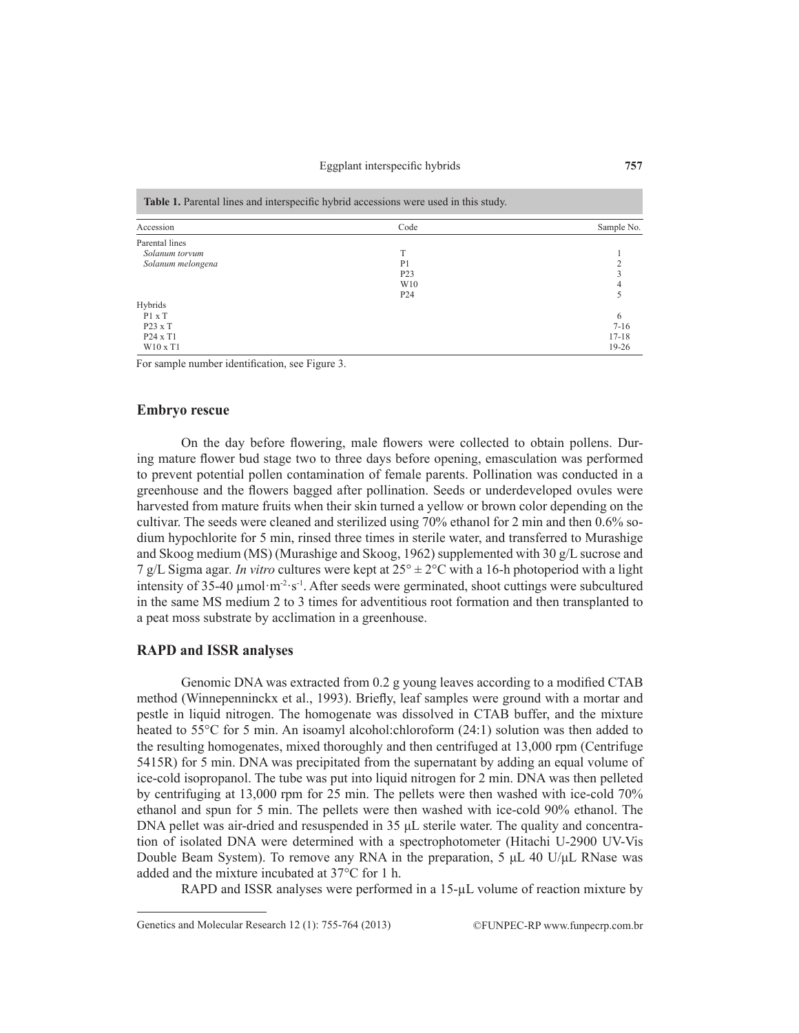Eggplant interspecific hybrids

| Accession         | Code             | Sample No. |
|-------------------|------------------|------------|
| Parental lines    |                  |            |
| Solanum torvum    | T                |            |
| Solanum melongena | P <sub>1</sub>   |            |
|                   | P <sub>2</sub> 3 |            |
|                   | W <sub>10</sub>  |            |
|                   | P <sub>24</sub>  |            |
| Hybrids           |                  |            |
| P1 x T            |                  | 6          |
| $P23 \times T$    |                  | $7 - 16$   |
| $P24 \times T1$   |                  | $17 - 18$  |
| $W10 \times T1$   |                  | 19-26      |

For sample number identification, see Figure 3.

### **Embryo rescue**

On the day before flowering, male flowers were collected to obtain pollens. During mature flower bud stage two to three days before opening, emasculation was performed to prevent potential pollen contamination of female parents. Pollination was conducted in a greenhouse and the flowers bagged after pollination. Seeds or underdeveloped ovules were harvested from mature fruits when their skin turned a yellow or brown color depending on the cultivar. The seeds were cleaned and sterilized using 70% ethanol for 2 min and then 0.6% sodium hypochlorite for 5 min, rinsed three times in sterile water, and transferred to Murashige and Skoog medium (MS) (Murashige and Skoog, 1962) supplemented with 30 g/L sucrose and 7 g/L Sigma agar. *In vitro* cultures were kept at  $25^{\circ} \pm 2^{\circ}$ C with a 16-h photoperiod with a light intensity of 35-40  $\mu$ mol·m<sup>-2</sup>·s<sup>-1</sup>. After seeds were germinated, shoot cuttings were subcultured in the same MS medium 2 to 3 times for adventitious root formation and then transplanted to a peat moss substrate by acclimation in a greenhouse.

### **RAPD and ISSR analyses**

Genomic DNA was extracted from 0.2 g young leaves according to a modified CTAB method (Winnepenninckx et al., 1993). Briefly, leaf samples were ground with a mortar and pestle in liquid nitrogen. The homogenate was dissolved in CTAB buffer, and the mixture heated to 55<sup>o</sup>C for 5 min. An isoamyl alcohol:chloroform (24:1) solution was then added to the resulting homogenates, mixed thoroughly and then centrifuged at 13,000 rpm (Centrifuge 5415R) for 5 min. DNA was precipitated from the supernatant by adding an equal volume of ice-cold isopropanol. The tube was put into liquid nitrogen for 2 min. DNA was then pelleted by centrifuging at 13,000 rpm for 25 min. The pellets were then washed with ice-cold 70% ethanol and spun for 5 min. The pellets were then washed with ice-cold 90% ethanol. The DNA pellet was air-dried and resuspended in 35 μL sterile water. The quality and concentration of isolated DNA were determined with a spectrophotometer (Hitachi U-2900 UV-Vis Double Beam System). To remove any RNA in the preparation, 5  $\mu$ L 40 U/ $\mu$ L RNase was added and the mixture incubated at 37°C for 1 h.

RAPD and ISSR analyses were performed in a 15-µL volume of reaction mixture by

Genetics and Molecular Research 12 (1): 755-764 (2013) ©FUNPEC-RP www.funpecrp.com.br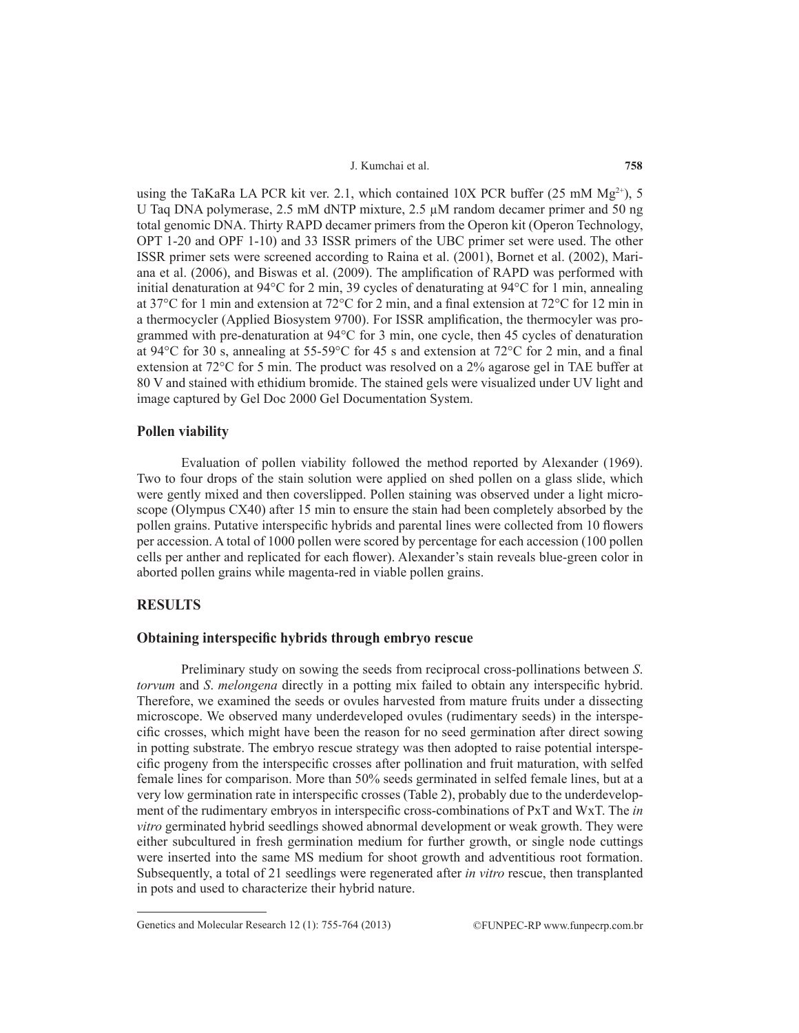using the TaKaRa LA PCR kit ver. 2.1, which contained 10X PCR buffer (25 mM  $Mg^{2+}$ ), 5 U Taq DNA polymerase, 2.5 mM dNTP mixture, 2.5  $\mu$ M random decamer primer and 50 ng total genomic DNA. Thirty RAPD decamer primers from the Operon kit (Operon Technology, OPT 1-20 and OPF 1-10) and 33 ISSR primers of the UBC primer set were used. The other ISSR primer sets were screened according to Raina et al. (2001), Bornet et al. (2002), Mariana et al. (2006), and Biswas et al. (2009). The amplification of RAPD was performed with initial denaturation at 94°C for 2 min, 39 cycles of denaturating at 94°C for 1 min, annealing at 37°C for 1 min and extension at 72°C for 2 min, and a final extension at 72°C for 12 min in a thermocycler (Applied Biosystem 9700). For ISSR amplification, the thermocyler was programmed with pre-denaturation at 94°C for 3 min, one cycle, then 45 cycles of denaturation at 94 $\rm ^{o}C$  for 30 s, annealing at 55-59 $\rm ^{o}C$  for 45 s and extension at 72 $\rm ^{o}C$  for 2 min, and a final extension at 72°C for 5 min. The product was resolved on a 2% agarose gel in TAE buffer at 80 V and stained with ethidium bromide. The stained gels were visualized under UV light and image captured by Gel Doc 2000 Gel Documentation System.

# **Pollen viability**

Evaluation of pollen viability followed the method reported by Alexander (1969). Two to four drops of the stain solution were applied on shed pollen on a glass slide, which were gently mixed and then coverslipped. Pollen staining was observed under a light microscope (Olympus CX40) after 15 min to ensure the stain had been completely absorbed by the pollen grains. Putative interspecific hybrids and parental lines were collected from 10 flowers per accession. A total of 1000 pollen were scored by percentage for each accession (100 pollen cells per anther and replicated for each flower). Alexander's stain reveals blue-green color in aborted pollen grains while magenta-red in viable pollen grains.

# **RESULTS**

## **Obtaining interspecific hybrids through embryo rescue**

Preliminary study on sowing the seeds from reciprocal cross-pollinations between *S*. *torvum* and *S*. *melongena* directly in a potting mix failed to obtain any interspecific hybrid. Therefore, we examined the seeds or ovules harvested from mature fruits under a dissecting microscope. We observed many underdeveloped ovules (rudimentary seeds) in the interspecific crosses, which might have been the reason for no seed germination after direct sowing in potting substrate. The embryo rescue strategy was then adopted to raise potential interspecific progeny from the interspecific crosses after pollination and fruit maturation, with selfed female lines for comparison. More than 50% seeds germinated in selfed female lines, but at a very low germination rate in interspecific crosses (Table 2), probably due to the underdevelopment of the rudimentary embryos in interspecific cross-combinations of PxT and WxT. The *in vitro* germinated hybrid seedlings showed abnormal development or weak growth. They were either subcultured in fresh germination medium for further growth, or single node cuttings were inserted into the same MS medium for shoot growth and adventitious root formation. Subsequently, a total of 21 seedlings were regenerated after *in vitro* rescue, then transplanted in pots and used to characterize their hybrid nature.

Genetics and Molecular Research 12 (1): 755-764 (2013) ©FUNPEC-RP www.funpecrp.com.br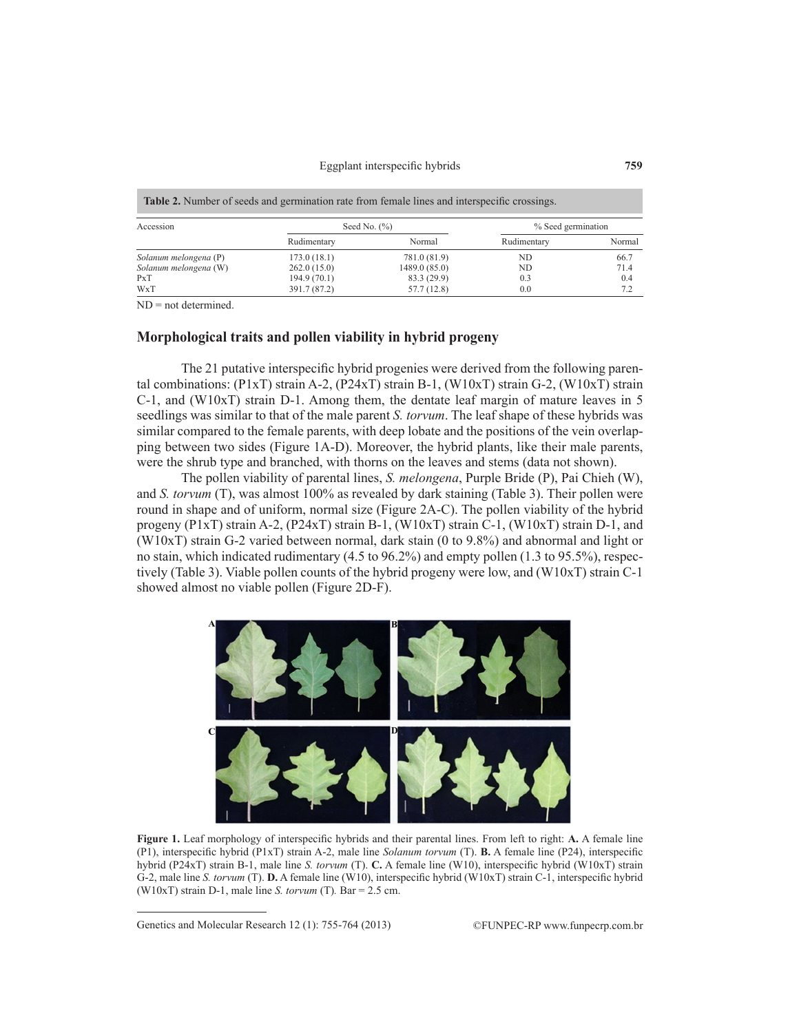| Accession             |              | Seed No. $(\% )$ | % Seed germination |        |
|-----------------------|--------------|------------------|--------------------|--------|
|                       | Rudimentary  | Normal           | Rudimentary        | Normal |
| Solanum melongena (P) | 173.0(18.1)  | 781.0 (81.9)     | ND.                | 66.7   |
| Solanum melongena (W) | 262.0(15.0)  | 1489.0 (85.0)    | ND                 | 71.4   |
| PxT                   | 194.9(70.1)  | 83.3 (29.9)      | 0.3                | 0.4    |
| WxT                   | 391.7 (87.2) | 57.7(12.8)       | 0.0                | 7.2    |

 $ND = not determined$ .

## **Morphological traits and pollen viability in hybrid progeny**

The 21 putative interspecific hybrid progenies were derived from the following parental combinations:  $(P1xT)$  strain A-2,  $(P24xT)$  strain B-1,  $(W10xT)$  strain G-2,  $(W10xT)$  strain  $C-1$ , and (W10xT) strain D-1. Among them, the dentate leaf margin of mature leaves in 5 seedlings was similar to that of the male parent *S. torvum*. The leaf shape of these hybrids was similar compared to the female parents, with deep lobate and the positions of the vein overlapping between two sides (Figure 1A-D). Moreover, the hybrid plants, like their male parents, were the shrub type and branched, with thorns on the leaves and stems (data not shown).

The pollen viability of parental lines, *S. melongena*, Purple Bride (P), Pai Chieh (W), and *S. torvum* (T), was almost 100% as revealed by dark staining (Table 3). Their pollen were round in shape and of uniform, normal size (Figure 2A-C). The pollen viability of the hybrid progeny (P1xT) strain A-2, (P24xT) strain B-1, (W10xT) strain C-1, (W10xT) strain D-1, and (W10xT) strain G-2 varied between normal, dark stain (0 to 9.8%) and abnormal and light or no stain, which indicated rudimentary (4.5 to 96.2%) and empty pollen (1.3 to 95.5%), respectively (Table 3). Viable pollen counts of the hybrid progeny were low, and (W10xT) strain C-1 showed almost no viable pollen (Figure 2D-F).



**Figure 1.** Leaf morphology of interspecific hybrids and their parental lines. From left to right: **A.** A female line (P1), interspecific hybrid (P1xT) strain A-2, male line *Solanum torvum* (T). **B.** A female line (P24), interspecific hybrid (P24xT) strain B-1, male line *S. torvum* (T). **C.** A female line (W10), interspecific hybrid (W10xT) strain G-2, male line *S. torvum* (T). **D.** A female line (W10), interspecific hybrid (W10xT) strain C-1, interspecific hybrid (W10xT) strain D-1, male line *S. torvum* (T)*.* Bar = 2.5 cm.

Genetics and Molecular Research 12 (1): 755-764 (2013) ©FUNPEC-RP www.funpecrp.com.br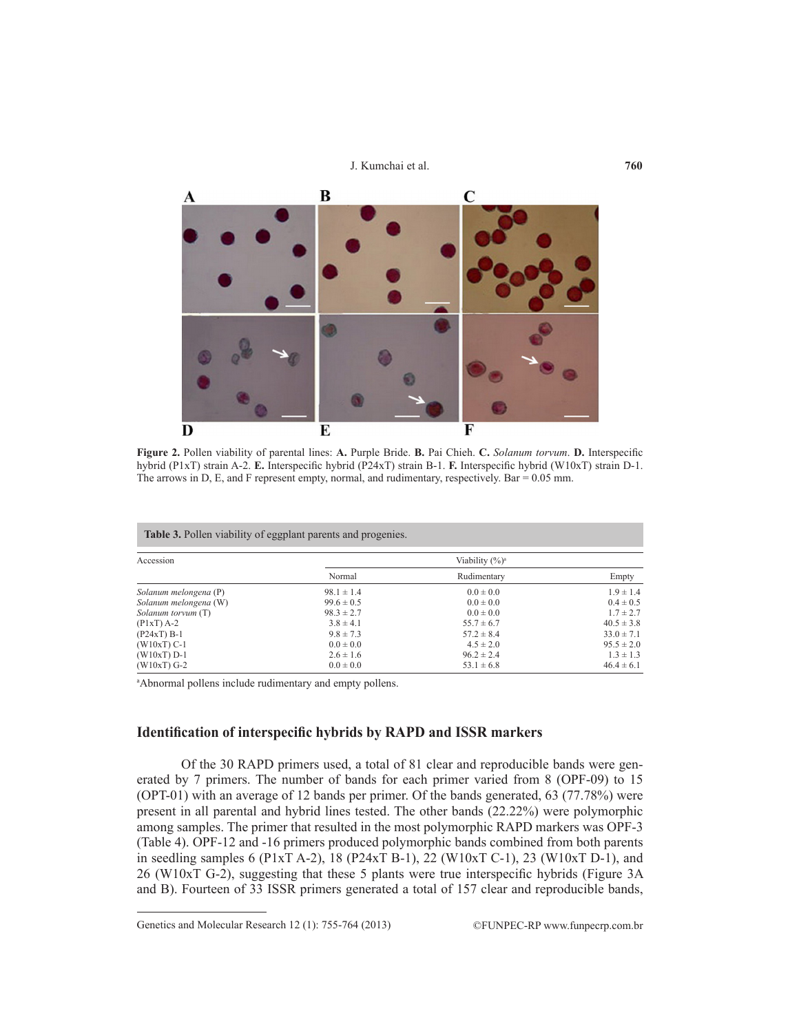

**Figure 2.** Pollen viability of parental lines: **A.** Purple Bride. **B.** Pai Chieh. **C.** *Solanum torvum*. **D.** Interspecific hybrid (P1xT) strain A-2. **E.** Interspecific hybrid (P24xT) strain B-1. **F.** Interspecific hybrid (W10xT) strain D-1. The arrows in D, E, and F represent empty, normal, and rudimentary, respectively. Bar = 0.05 mm.

| Accession             | Table 3. Pollen viability of eggplant parents and progenies.<br>Viability $(\%)^a$ |                |                |  |
|-----------------------|------------------------------------------------------------------------------------|----------------|----------------|--|
|                       | Normal                                                                             | Rudimentary    | Empty          |  |
| Solanum melongena (P) | $98.1 \pm 1.4$                                                                     | $0.0 \pm 0.0$  | $1.9 \pm 1.4$  |  |
| Solanum melongena (W) | $99.6 \pm 0.5$                                                                     | $0.0 \pm 0.0$  | $0.4 \pm 0.5$  |  |
| Solanum torvum (T)    | $98.3 \pm 2.7$                                                                     | $0.0 \pm 0.0$  | $1.7 \pm 2.7$  |  |
| $(PIxT)$ A-2          | $3.8 \pm 4.1$                                                                      | $55.7 \pm 6.7$ | $40.5 \pm 3.8$ |  |
| $(P24xT) B-1$         | $9.8 \pm 7.3$                                                                      | $57.2 \pm 8.4$ | $33.0 \pm 7.1$ |  |
| $(W10xT)$ C-1         | $0.0 \pm 0.0$                                                                      | $4.5 \pm 2.0$  | $95.5 \pm 2.0$ |  |
| $(W10xT) D-1$         | $2.6 \pm 1.6$                                                                      | $96.2 \pm 2.4$ | $1.3 \pm 1.3$  |  |
| $(W10xT)$ G-2         | $0.0 \pm 0.0$                                                                      | $53.1 \pm 6.8$ | $46.4 \pm 6.1$ |  |

a Abnormal pollens include rudimentary and empty pollens.

# **Identification of interspecific hybrids by RAPD and ISSR markers**

Of the 30 RAPD primers used, a total of 81 clear and reproducible bands were generated by 7 primers. The number of bands for each primer varied from 8 (OPF-09) to 15 (OPT-01) with an average of 12 bands per primer. Of the bands generated, 63 (77.78%) were present in all parental and hybrid lines tested. The other bands (22.22%) were polymorphic among samples. The primer that resulted in the most polymorphic RAPD markers was OPF-3 (Table 4). OPF-12 and -16 primers produced polymorphic bands combined from both parents in seedling samples 6 (P1xT A-2), 18 (P24xT B-1), 22 (W10xT C-1), 23 (W10xT D-1), and 26 (W10xT G-2), suggesting that these 5 plants were true interspecific hybrids (Figure 3A and B). Fourteen of 33 ISSR primers generated a total of 157 clear and reproducible bands,

Genetics and Molecular Research 12 (1): 755-764 (2013) ©FUNPEC-RP www.funpecrp.com.br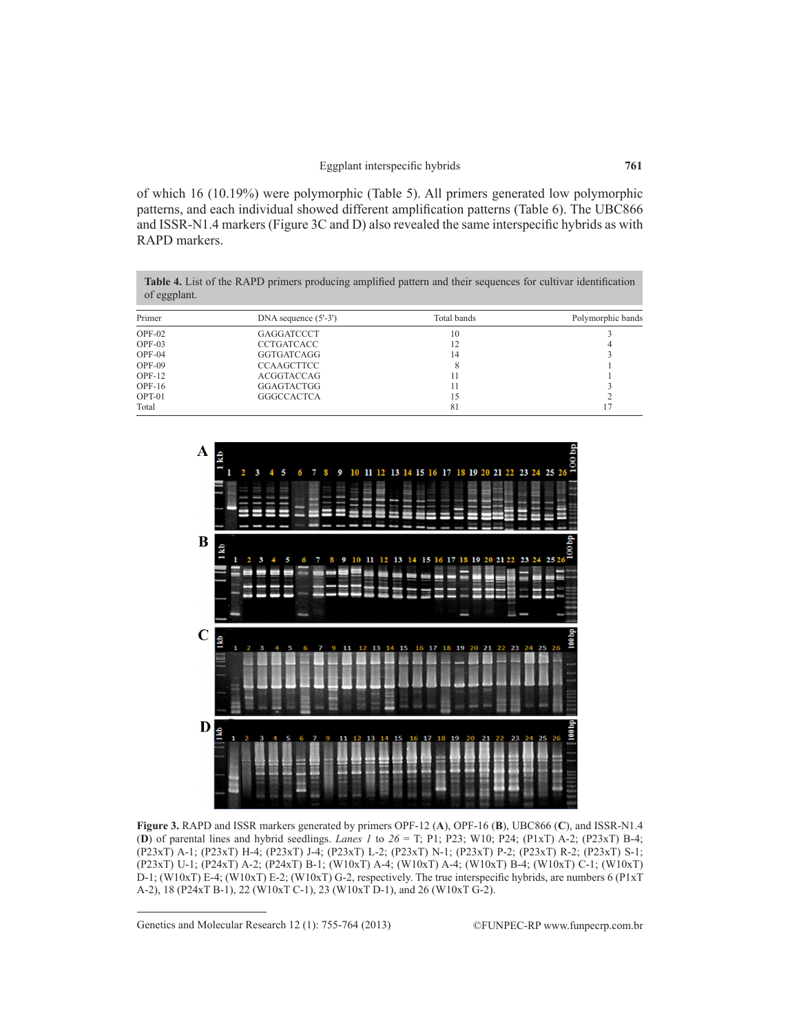of which 16 (10.19%) were polymorphic (Table 5). All primers generated low polymorphic patterns, and each individual showed different amplification patterns (Table 6). The UBC866 and ISSR-N1.4 markers (Figure 3C and D) also revealed the same interspecific hybrids as with RAPD markers.

| <b>Table 4.</b> List of the RAPD primers producing amplified pattern and their sequences for cultivar identification |
|----------------------------------------------------------------------------------------------------------------------|
| of eggplant.                                                                                                         |

| Primer   | DNA sequence $(5'-3')$ | Total bands | Polymorphic bands |  |
|----------|------------------------|-------------|-------------------|--|
| $OPF-02$ | GAGGATCCCT             | 10          |                   |  |
| $OPF-03$ | <b>CCTGATCACC</b>      |             |                   |  |
| $OPF-04$ | GGTGATCAGG             | 14          |                   |  |
| $OPF-09$ | <b>CCAAGCTTCC</b>      |             |                   |  |
| $OPF-12$ | ACGGTACCAG             |             |                   |  |
| $OPF-16$ | GGAGTACTGG             |             |                   |  |
| OPT-01   | <b>GGGCCACTCA</b>      |             |                   |  |
| Total    |                        | 81          |                   |  |



**Figure 3.** RAPD and ISSR markers generated by primers OPF-12 (**A**), OPF-16 (**B**), UBC866 (**C**), and ISSR-N1.4 (**D**) of parental lines and hybrid seedlings. *Lanes 1* to *26* = T; P1; P23; W10; P24; (P1xT) A-2; (P23xT) B-4; (P23xT) A-1; (P23xT) H-4; (P23xT) J-4; (P23xT) L-2; (P23xT) N-1; (P23xT) P-2; (P23xT) R-2; (P23xT) S-1; (P23xT) U-1; (P24xT) A-2; (P24xT) B-1; (W10xT) A-4; (W10xT) A-4; (W10xT) B-4; (W10xT) C-1; (W10xT) D-1; (W10xT) E-4; (W10xT) E-2; (W10xT) G-2, respectively. The true interspecific hybrids, are numbers 6 (P1xT A-2), 18 (P24xT B-1), 22 (W10xT C-1), 23 (W10xT D-1), and 26 (W10xT G-2).

Genetics and Molecular Research 12 (1): 755-764 (2013) ©FUNPEC-RP www.funpecrp.com.br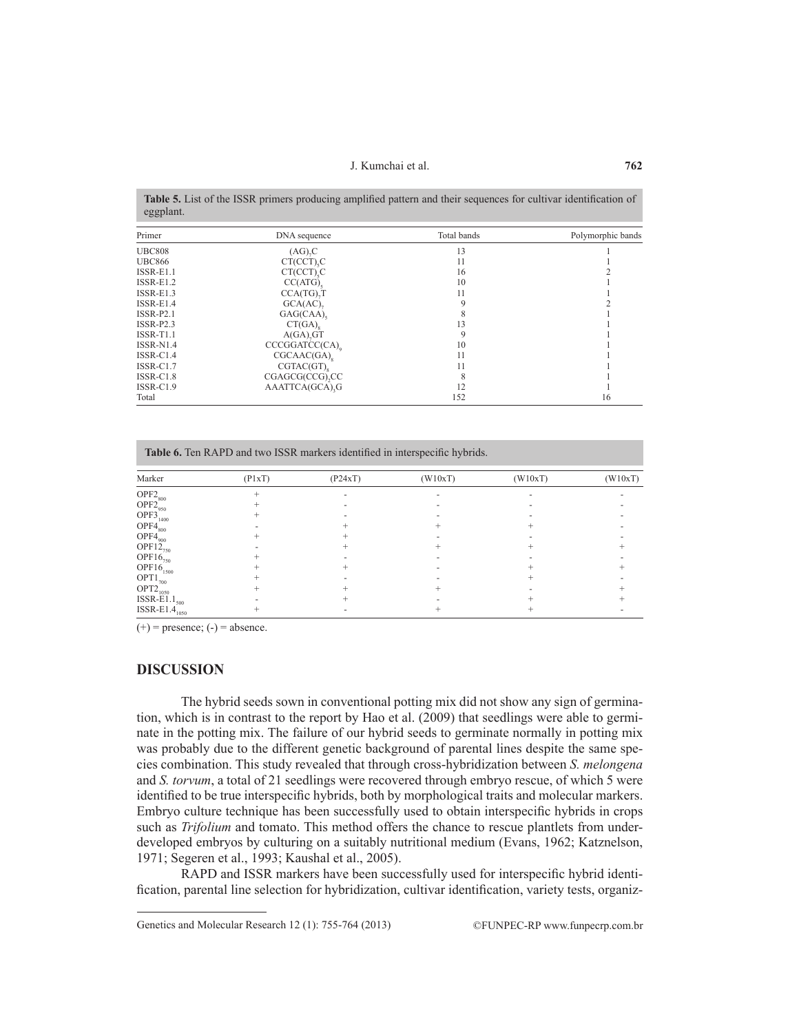J. Kumchai et al.

**Table 5.** List of the ISSR primers producing amplified pattern and their sequences for cultivar identification of eggplant.

| Primer        | DNA sequence            | Total bands | Polymorphic bands |
|---------------|-------------------------|-------------|-------------------|
| <b>UBC808</b> | $(AG)$ <sub>2</sub> $C$ | 13          |                   |
| <b>UBC866</b> | CT(CCT) <sub>.</sub> C  | 11          |                   |
| $ISSR-E1.1$   | CT(CCT).C               | 16          |                   |
| $ISSR-E1.2$   | $CC(ATG)$ .             | 10          |                   |
| $ISSR-E1.3$   | $CCA(TG)$ <sub>T</sub>  | 11          |                   |
| $ISSR-E1.4$   | $GCA(AC)$ ,             |             |                   |
| $ISSR-P2.1$   | GAG(CAA)                |             |                   |
| $ISSR-P2.3$   | CT(GA)                  | 13          |                   |
| $ISSR-T1.1$   | A(GA), GT               | 9           |                   |
| ISSR-N1.4     | CCCGGATCC(CA)           | 10          |                   |
| ISSR-C1.4     | CGCAAC(GA)              | 11          |                   |
| $ISSR-C1.7$   | CGTAC(GT)               | 11          |                   |
| ISSR-C1.8     | CGAGCG(CCG),CC          | 8           |                   |
| ISSR-C1.9     | AAATTCA(GCA), G         | 12          |                   |
| Total         |                         | 152         | 16                |

| Marker                           | (PlxT) | (P24xT) | (W10xT) | (W10xT) | (W10xT) |
|----------------------------------|--------|---------|---------|---------|---------|
| $OPF2_{800}$                     |        |         |         |         |         |
| $OPF2_{950}$                     |        |         |         |         |         |
| $OPF3$ <sub>1400</sub>           |        |         |         |         |         |
| $OPF4_{800}$                     |        |         |         |         |         |
| $OPF4_{900}$                     |        |         |         |         |         |
| OPF12 <sub>750</sub>             |        |         |         |         |         |
| $OPF16_{750}$                    |        |         |         |         |         |
| $OPF16_{1500}$                   |        |         |         |         |         |
| $OPT1_{700}$                     |        |         |         |         |         |
| $OPT2_{\underline{1050}}$        |        |         |         |         |         |
| ISSR-E $1_{500}$                 |        |         |         |         |         |
| $\text{ISSR-E1.4}_{\text{1050}}$ |        |         |         |         |         |

 $(+)$  = presence;  $(-)$  = absence.

## **DISCUSSION**

The hybrid seeds sown in conventional potting mix did not show any sign of germination, which is in contrast to the report by Hao et al. (2009) that seedlings were able to germinate in the potting mix. The failure of our hybrid seeds to germinate normally in potting mix was probably due to the different genetic background of parental lines despite the same species combination. This study revealed that through cross-hybridization between *S. melongena* and *S. torvum*, a total of 21 seedlings were recovered through embryo rescue, of which 5 were identified to be true interspecific hybrids, both by morphological traits and molecular markers. Embryo culture technique has been successfully used to obtain interspecific hybrids in crops such as *Trifolium* and tomato. This method offers the chance to rescue plantlets from underdeveloped embryos by culturing on a suitably nutritional medium (Evans, 1962; Katznelson, 1971; Segeren et al., 1993; Kaushal et al., 2005).

RAPD and ISSR markers have been successfully used for interspecific hybrid identification, parental line selection for hybridization, cultivar identification, variety tests, organiz-

Genetics and Molecular Research 12 (1): 755-764 (2013) ©FUNPEC-RP www.funpecrp.com.br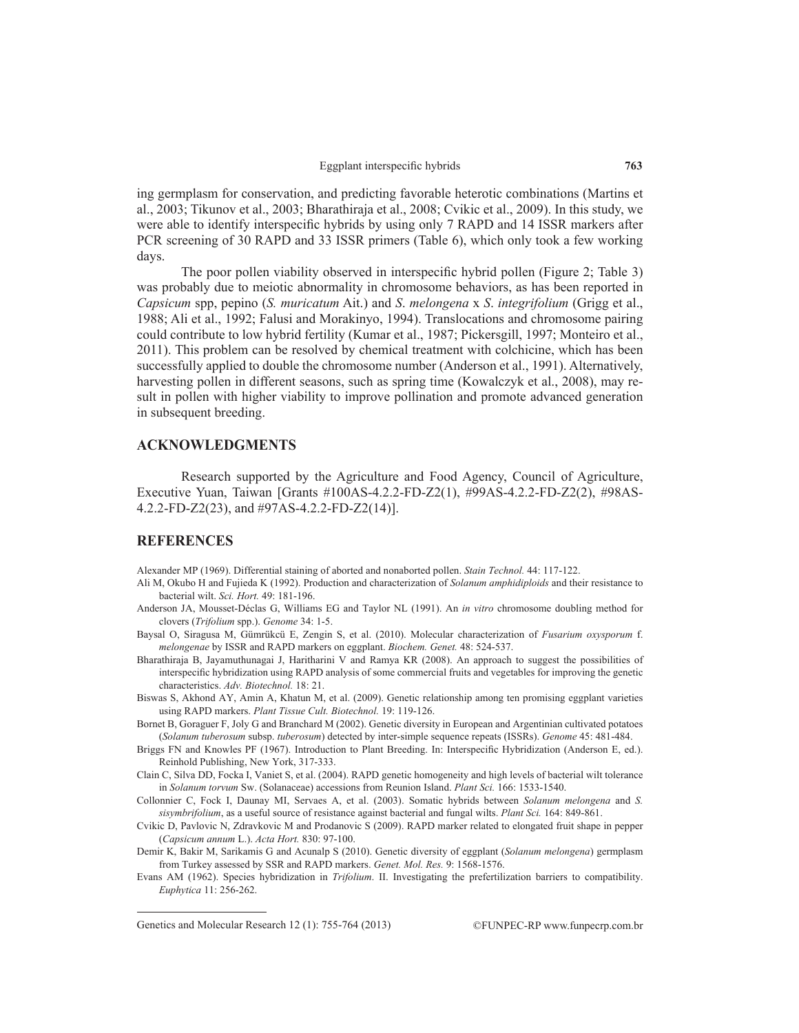ing germplasm for conservation, and predicting favorable heterotic combinations (Martins et al., 2003; Tikunov et al., 2003; Bharathiraja et al., 2008; Cvikic et al., 2009). In this study, we were able to identify interspecific hybrids by using only 7 RAPD and 14 ISSR markers after PCR screening of 30 RAPD and 33 ISSR primers (Table 6), which only took a few working days.

The poor pollen viability observed in interspecific hybrid pollen (Figure 2; Table 3) was probably due to meiotic abnormality in chromosome behaviors, as has been reported in *Capsicum* spp, pepino (*S. muricatum* Ait.) and *S*. *melongena* x *S*. *integrifolium* (Grigg et al., 1988; Ali et al., 1992; Falusi and Morakinyo, 1994). Translocations and chromosome pairing could contribute to low hybrid fertility (Kumar et al., 1987; Pickersgill, 1997; Monteiro et al., 2011). This problem can be resolved by chemical treatment with colchicine, which has been successfully applied to double the chromosome number (Anderson et al., 1991). Alternatively, harvesting pollen in different seasons, such as spring time (Kowalczyk et al., 2008), may result in pollen with higher viability to improve pollination and promote advanced generation in subsequent breeding.

# **ACKNOWLEDGMENTS**

Research supported by the Agriculture and Food Agency, Council of Agriculture, Executive Yuan, Taiwan [Grants #100AS-4.2.2-FD-Z2(1), #99AS-4.2.2-FD-Z2(2), #98AS-4.2.2-FD-Z2(23), and #97AS-4.2.2-FD-Z2(14)].

### **REFERENCES**

Alexander MP (1969). Differential staining of aborted and nonaborted pollen. *Stain Technol.* 44: 117-122.

- Ali M, Okubo H and Fujieda K (1992). Production and characterization of *Solanum amphidiploids* and their resistance to bacterial wilt. *Sci. Hort.* 49: 181-196.
- Anderson JA, Mousset-Déclas G, Williams EG and Taylor NL (1991). An *in vitro* chromosome doubling method for clovers (*Trifolium* spp.). *Genome* 34: 1-5.
- Baysal O, Siragusa M, Gümrükcü E, Zengin S, et al. (2010). Molecular characterization of *Fusarium oxysporum* f. *melongenae* by ISSR and RAPD markers on eggplant. *Biochem. Genet.* 48: 524-537.
- Bharathiraja B, Jayamuthunagai J, Haritharini V and Ramya KR (2008). An approach to suggest the possibilities of interspecific hybridization using RAPD analysis of some commercial fruits and vegetables for improving the genetic characteristics. *Adv. Biotechnol.* 18: 21.
- Biswas S, Akhond AY, Amin A, Khatun M, et al. (2009). Genetic relationship among ten promising eggplant varieties using RAPD markers. *Plant Tissue Cult. Biotechnol.* 19: 119-126.
- Bornet B, Goraguer F, Joly G and Branchard M (2002). Genetic diversity in European and Argentinian cultivated potatoes (*Solanum tuberosum* subsp. *tuberosum*) detected by inter-simple sequence repeats (ISSRs). *Genome* 45: 481-484.
- Briggs FN and Knowles PF (1967). Introduction to Plant Breeding. In: Interspecific Hybridization (Anderson E, ed.). Reinhold Publishing, New York, 317-333.
- Clain C, Silva DD, Focka I, Vaniet S, et al. (2004). RAPD genetic homogeneity and high levels of bacterial wilt tolerance in *Solanum torvum* Sw. (Solanaceae) accessions from Reunion Island. *Plant Sci.* 166: 1533-1540.
- Collonnier C, Fock I, Daunay MI, Servaes A, et al. (2003). Somatic hybrids between *Solanum melongena* and *S. sisymbrifolium*, as a useful source of resistance against bacterial and fungal wilts. *Plant Sci.* 164: 849-861.
- Cvikic D, Pavlovic N, Zdravkovic M and Prodanovic S (2009). RAPD marker related to elongated fruit shape in pepper (*Capsicum annum* L.). *Acta Hort.* 830: 97-100.
- Demir K, Bakir M, Sarikamis G and Acunalp S (2010). Genetic diversity of eggplant (*Solanum melongena*) germplasm from Turkey assessed by SSR and RAPD markers. *Genet. Mol. Res.* 9: 1568-1576.
- Evans AM (1962). Species hybridization in *Trifolium*. II. Investigating the prefertilization barriers to compatibility. *Euphytica* 11: 256-262.

Genetics and Molecular Research 12 (1): 755-764 (2013) ©FUNPEC-RP www.funpecrp.com.br